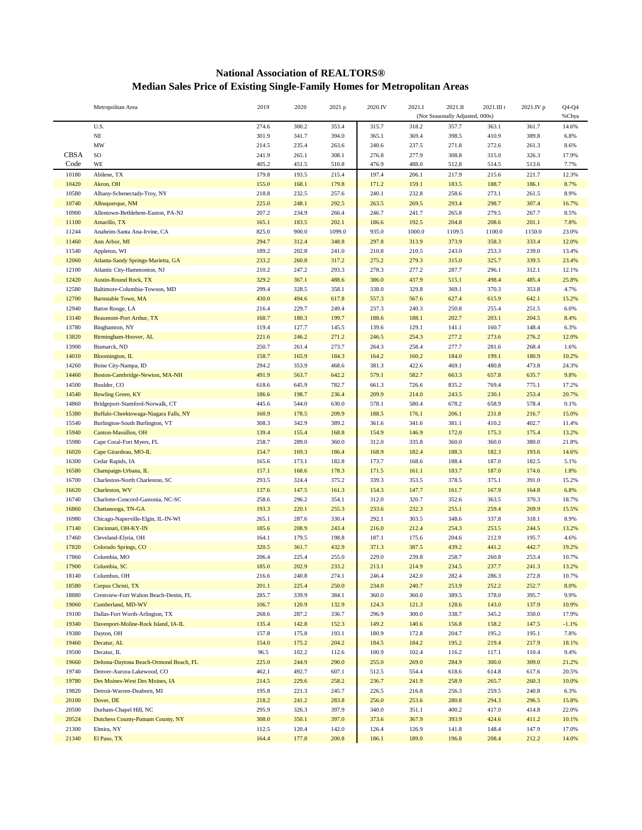## **National Association of REALTORS® Median Sales Price of Existing Single-Family Homes for Metropolitan Areas**

|             | Metropolitan Area                      | 2019  | 2020  | 2021 p | 2020.IV | 2021.I                          | 2021.II | 2021.III r | 2021.IV p | $Q4-Q4$ |
|-------------|----------------------------------------|-------|-------|--------|---------|---------------------------------|---------|------------|-----------|---------|
|             |                                        |       |       |        |         | (Not Seasonally Adjusted, 000s) |         |            |           | %Chya   |
|             | U.S.                                   | 274.6 | 300.2 | 353.4  | 315.7   | 318.2                           | 357.7   | 363.1      | 361.7     | 14.6%   |
|             | $_{\rm NE}$                            | 301.9 | 341.7 | 394.0  | 365.1   | 369.4                           | 398.5   | 410.9      | 389.8     | 6.8%    |
|             | MW                                     | 214.5 | 235.4 | 263.6  | 240.6   | 237.5                           | 271.8   | 272.6      | 261.3     | 8.6%    |
| <b>CBSA</b> | SO                                     | 241.9 | 265.1 | 308.1  | 276.8   | 277.9                           | 308.8   | 315.0      | 326.3     | 17.9%   |
| Code        | WE                                     | 405.2 | 451.5 | 510.8  | 476.9   | 488.0                           | 512.8   | 514.5      | 513.6     | 7.7%    |
| 10180       | Abilene, TX                            | 179.8 | 193.5 | 215.4  | 197.4   | 206.1                           | 217.9   | 215.6      | 221.7     | 12.3%   |
| 10420       | Akron, OH                              | 155.0 | 168.1 | 179.8  | 171.2   | 159.1                           | 183.5   | 188.7      | 186.1     | 8.7%    |
| 10580       | Albany-Schenectady-Troy, NY            | 218.8 | 232.5 | 257.6  | 240.1   | 232.8                           | 258.6   | 273.1      | 261.5     | 8.9%    |
| 10740       | Albuquerque, NM                        | 225.0 | 248.1 | 292.5  | 263.5   | 269.5                           | 293.4   | 298.7      | 307.4     | 16.7%   |
| 10900       | Allentown-Bethlehem-Easton, PA-NJ      | 207.2 | 234.9 | 266.4  | 246.7   | 241.7                           | 265.8   | 279.5      | 267.7     | 8.5%    |
| 11100       | Amarillo, TX                           | 165.1 | 183.5 | 202.1  | 186.6   | 192.5                           | 204.8   | 208.6      | 201.1     | 7.8%    |
| 11244       | Anaheim-Santa Ana-Irvine, CA           | 825.0 | 900.0 | 1099.0 | 935.0   | 1000.0                          | 1109.5  | 1100.0     | 1150.0    | 23.0%   |
| 11460       | Ann Arbor, MI                          | 294.7 | 312.4 | 348.8  | 297.8   | 313.9                           | 373.9   | 358.3      | 333.4     | 12.0%   |
| 11540       | Appleton, WI                           | 189.2 | 202.8 | 241.0  | 210.8   | 210.5                           | 243.0   | 253.3      | 239.0     | 13.4%   |
| 12060       | Atlanta-Sandy Springs-Marietta, GA     | 233.2 | 260.8 | 317.2  | 275.2   | 279.3                           | 315.0   | 325.7      | 339.5     | 23.4%   |
| 12100       | Atlantic City-Hammonton, NJ            | 210.2 | 247.2 | 293.3  | 278.3   | 277.2                           | 287.7   | 296.1      | 312.1     | 12.1%   |
| 12420       | <b>Austin-Round Rock, TX</b>           | 329.2 | 367.1 | 488.6  | 386.0   | 437.9                           | 515.1   | 498.4      | 485.4     | 25.8%   |
| 12580       | Baltimore-Columbia-Towson, MD          | 299.4 | 328.5 | 358.1  | 338.0   | 329.8                           | 369.1   | 370.3      | 353.8     | 4.7%    |
| 12700       | <b>Barnstable Town, MA</b>             | 430.0 | 494.6 | 617.8  | 557.3   | 567.6                           | 627.4   | 615.9      | 642.1     | 15.2%   |
| 12940       | Baton Rouge, LA                        | 216.4 | 229.7 | 249.4  | 237.3   | 240.3                           | 250.8   | 255.4      | 251.5     | 6.0%    |
| 13140       | Beaumont-Port Arthur, TX               | 168.7 | 180.3 | 199.7  | 188.6   | 188.1                           | 202.7   | 203.1      | 204.5     | 8.4%    |
| 13780       | Binghamton, NY                         | 119.4 | 127.7 | 145.5  | 139.6   | 129.1                           | 141.1   | 160.7      | 148.4     | 6.3%    |
| 13820       | Birmingham-Hoover, AL                  | 221.6 | 246.2 | 271.2  | 246.5   | 254.3                           | 277.2   | 273.6      | 276.2     | 12.0%   |
| 13900       | Bismarck, ND                           | 250.7 | 261.4 | 273.7  | 264.3   | 258.4                           | 277.7   | 281.6      | 268.4     | 1.6%    |
| 14010       | Bloomington, IL                        | 158.7 | 165.9 | 184.3  | 164.2   | 160.2                           | 184.0   | 199.1      | 180.9     | 10.2%   |
| 14260       | Boise City-Nampa, ID                   | 294.2 | 353.9 | 468.6  | 381.3   | 422.6                           | 469.1   | 480.8      | 473.8     | 24.3%   |
| 14460       | Boston-Cambridge-Newton, MA-NH         | 491.9 | 563.7 | 642.2  | 579.1   | 582.7                           | 663.3   | 657.8      | 635.7     | 9.8%    |
| 14500       | Boulder, CO                            | 618.6 | 645.9 | 782.7  | 661.3   | 726.6                           | 835.2   | 769.4      | 775.1     | 17.2%   |
| 14540       | <b>Bowling Green, KY</b>               | 186.6 | 198.7 | 236.4  | 209.9   | 214.0                           | 243.5   | 230.1      | 253.4     | 20.7%   |
| 14860       | Bridgeport-Stamford-Norwalk, CT        | 445.6 | 544.0 | 630.0  | 578.1   | 580.4                           | 678.2   | 658.9      | 578.4     | 0.1%    |
| 15380       | Buffalo-Cheektowaga-Niagara Falls, NY  | 160.9 | 178.5 | 209.9  | 188.5   | 176.1                           | 206.1   | 231.8      | 216.7     | 15.0%   |
| 15540       | Burlington-South Burlington, VT        | 308.3 | 342.9 | 389.2  | 361.6   | 341.6                           | 381.1   | 410.2      | 402.7     | 11.4%   |
| 15940       | Canton-Massillon, OH                   | 139.4 | 155.4 | 168.8  | 154.9   | 146.9                           | 172.0   | 175.3      | 175.4     | 13.2%   |
| 15980       | Cape Coral-Fort Myers, FL              | 258.7 | 289.0 | 360.0  | 312.0   | 335.8                           | 360.0   | 360.0      | 380.0     | 21.8%   |
| 16020       | Cape Girardeau, MO-IL                  | 154.7 | 169.3 | 186.4  | 168.9   | 182.4                           | 188.3   | 182.3      | 193.6     | 14.6%   |
| 16300       | Cedar Rapids, IA                       | 165.6 | 173.1 | 182.8  | 173.7   | 168.6                           | 188.4   | 187.0      | 182.5     | 5.1%    |
| 16580       | Champaign-Urbana, IL                   | 157.1 | 168.6 | 178.3  | 171.5   | 161.1                           | 183.7   | 187.0      | 174.6     | 1.8%    |
| 16700       | Charleston-North Charleston, SC        | 293.5 | 324.4 | 375.2  | 339.3   | 353.5                           | 378.5   | 375.1      | 391.0     | 15.2%   |
| 16620       | Charleston, WV                         | 137.6 | 147.5 | 161.3  | 154.3   | 147.7                           | 161.7   | 167.9      | 164.8     | 6.8%    |
| 16740       | Charlotte-Concord-Gastonia, NC-SC      | 258.6 | 296.2 | 354.1  | 312.0   | 320.7                           | 352.6   | 363.5      | 370.3     | 18.7%   |
| 16860       | Chattanooga, TN-GA                     | 193.3 | 220.1 | 255.3  | 233.6   | 232.3                           | 255.1   | 259.4      | 269.9     | 15.5%   |
| 16980       | Chicago-Naperville-Elgin, IL-IN-WI     | 265.1 | 287.6 | 330.4  | 292.1   | 303.5                           | 348.6   | 337.8      | 318.1     | 8.9%    |
| 17140       | Cincinnati, OH-KY-IN                   | 185.6 | 208.9 | 243.4  | 216.0   | 212.4                           | 254.3   | 253.5      | 244.5     | 13.2%   |
| 17460       | Cleveland-Elyria, OH                   | 164.1 | 179.5 | 198.8  | 187.1   | 175.6                           | 204.6   | 212.9      | 195.7     | 4.6%    |
| 17820       | Colorado Springs, CO                   | 320.5 | 361.7 | 432.9  | 371.3   | 387.5                           | 439.2   | 441.2      | 442.7     | 19.2%   |
| 17860       | Columbia, MO                           | 206.4 | 225.4 | 255.0  | 229.0   | 239.8                           | 258.7   | 260.8      | 253.4     | 10.7%   |
| 17900       | Columbia, SC                           | 185.0 | 202.9 | 233.2  | 213.1   | 214.9                           | 234.5   | 237.7      | 241.3     | 13.2%   |
| 18140       | Columbus, OH                           | 216.6 | 240.8 | 274.1  | 246.4   | 242.0                           | 282.4   | 286.3      | 272.8     | 10.7%   |
| 18580       | Corpus Christi, TX                     | 201.1 | 225.4 | 250.0  | 234.0   | 240.7                           | 253.9   | 252.2      | 252.7     | 8.0%    |
| 18880       | Crestview-Fort Walton Beach-Destin, FL | 285.7 | 339.9 | 384.1  | 360.0   | 360.0                           | 389.5   | 378.0      | 395.7     | 9.9%    |
| 19060       | Cumberland, MD-WV                      | 106.7 | 120.9 | 132.9  | 124.3   | 121.3                           | 128.6   | 143.0      | 137.9     | 10.9%   |
| 19100       | Dallas-Fort Worth-Arlington, TX        | 268.6 | 287.2 | 336.7  | 296.9   | 300.0                           | 338.7   | 345.2      | 350.0     | 17.9%   |
| 19340       | Davenport-Moline-Rock Island, IA-IL    | 135.4 | 142.8 | 152.3  | 149.2   | 140.6                           | 156.8   | 158.2      | 147.5     | $-1.1%$ |
| 19380       | Dayton, OH                             | 157.8 | 175.8 | 193.1  | 180.9   | 172.8                           | 204.7   | 195.2      | 195.1     | 7.8%    |
| 19460       | Decatur, AL                            | 154.0 | 175.2 | 204.2  | 184.5   | 184.2                           | 195.2   | 219.4      | 217.9     | 18.1%   |
| 19500       | Decatur, IL                            | 96.5  | 102.2 | 112.6  | 100.9   | 102.4                           | 116.2   | 117.1      | 110.4     | 9.4%    |
| 19660       | Deltona-Daytona Beach-Ormond Beach, FL | 225.0 | 244.9 | 290.0  | 255.0   | 269.0                           | 284.9   | 300.0      | 309.0     | 21.2%   |
| 19740       | Denver-Aurora-Lakewood, CO             | 462.1 | 492.7 | 607.1  | 512.5   | 554.4                           | 618.6   | 614.8      | 617.6     | 20.5%   |
| 19780       | Des Moines-West Des Moines, IA         | 214.5 | 229.6 | 258.2  | 236.7   | 241.9                           | 258.9   | 265.7      | 260.3     | 10.0%   |
| 19820       | Detroit-Warren-Deaborn, MI             | 195.8 | 221.3 | 245.7  | 226.5   | 216.8                           | 256.3   | 259.5      | 240.8     | 6.3%    |
| 20100       | Dover, DE                              | 218.2 | 241.2 | 283.8  | 256.0   | 253.6                           | 280.8   | 294.3      | 296.5     | 15.8%   |
| 20500       | Durham-Chapel Hill, NC                 | 295.9 | 326.3 | 397.9  | 340.0   | 351.1                           | 400.2   | 417.0      | 414.8     | 22.0%   |
| 20524       | Dutchess County-Putnam County, NY      | 308.0 | 350.1 | 397.0  | 373.6   | 367.9                           | 393.9   | 424.6      | 411.2     | 10.1%   |
| 21300       | Elmira, NY                             | 112.5 | 120.4 | 142.0  | 126.4   | 126.9                           | 141.8   | 148.4      | 147.9     | 17.0%   |
| 21340       | El Paso, TX                            | 164.4 | 177.8 | 200.8  | 186.1   | 189.0                           | 196.8   | 208.4      | 212.2     | 14.0%   |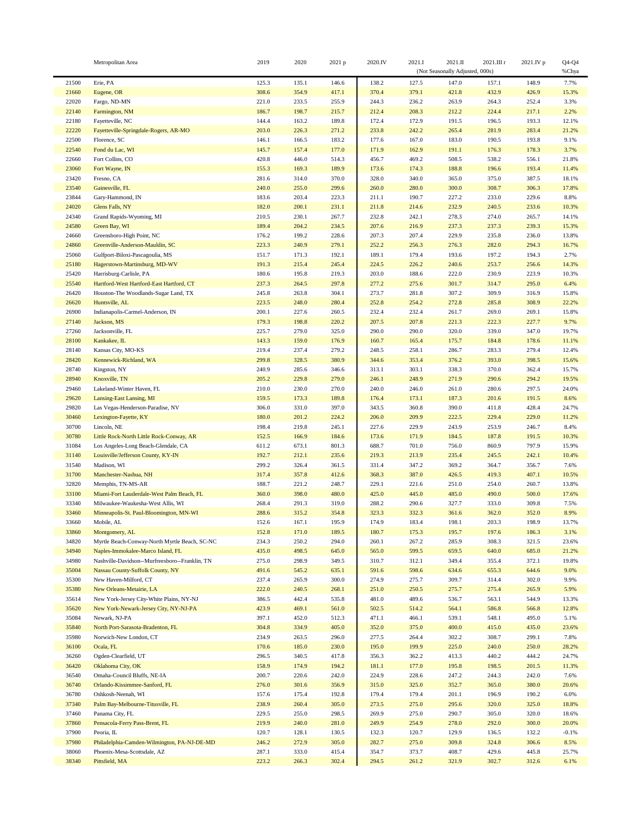|                | Metropolitan Area                                                                   | 2019           | 2020           | 2021 p         | 2020.IV        | 2021.I         | 2021.II                         | 2021.III r     | 2021.IV p      | $Q4-Q4$        |
|----------------|-------------------------------------------------------------------------------------|----------------|----------------|----------------|----------------|----------------|---------------------------------|----------------|----------------|----------------|
|                |                                                                                     |                |                |                |                |                | (Not Seasonally Adjusted, 000s) |                |                | %Chya          |
| 21500          | Erie, PA                                                                            | 125.3          | 135.1          | 146.6          | 138.2          | 127.5          | 147.0                           | 157.1          | 148.9          | 7.7%           |
| 21660          | Eugene, OR                                                                          | 308.6          | 354.9          | 417.1          | 370.4          | 379.1          | 421.8                           | 432.9          | 426.9          | 15.3%          |
| 22020          | Fargo, ND-MN                                                                        | 221.0          | 233.5          | 255.9          | 244.3          | 236.2          | 263.9                           | 264.3          | 252.4          | 3.3%           |
| 22140          | Farmington, NM                                                                      | 186.7          | 198.7          | 215.7          | 212.4          | 208.3          | 212.2                           | 224.4          | 217.1          | 2.2%           |
| 22180          | Fayetteville, NC                                                                    | 144.4          | 163.2          | 189.8          | 172.4          | 172.9          | 191.5                           | 196.5          | 193.3          | 12.1%          |
| 22220          | Fayetteville-Springdale-Rogers, AR-MO                                               | 203.0          | 226.3          | 271.2          | 233.8          | 242.2          | 265.4                           | 281.9          | 283.4          | 21.2%          |
| 22500<br>22540 | Florence, SC<br>Fond du Lac, WI                                                     | 146.1<br>145.7 | 166.5<br>157.4 | 183.2<br>177.0 | 177.6<br>171.9 | 167.0<br>162.9 | 183.0<br>191.1                  | 190.5<br>176.3 | 193.8<br>178.3 | 9.1%<br>3.7%   |
| 22660          | Fort Collins, CO                                                                    | 420.8          | 446.0          | 514.3          | 456.7          | 469.2          | 508.5                           | 538.2          | 556.1          | 21.8%          |
| 23060          | Fort Wayne, IN                                                                      | 155.3          | 169.3          | 189.9          | 173.6          | 174.3          | 188.8                           | 196.6          | 193.4          | 11.4%          |
| 23420          | Fresno, CA                                                                          | 281.6          | 314.0          | 370.0          | 328.0          | 340.0          | 365.0                           | 375.0          | 387.5          | 18.1%          |
| 23540          | Gainesville, FL                                                                     | 240.0          | 255.0          | 299.6          | 260.0          | 280.0          | 300.0                           | 308.7          | 306.3          | 17.8%          |
| 23844          | Gary-Hammond, IN                                                                    | 183.6          | 203.4          | 223.3          | 211.1          | 190.7          | 227.2                           | 233.0          | 229.6          | 8.8%           |
| 24020          | Glens Falls, NY                                                                     | 182.0          | 200.1          | 231.1          | 211.8          | 214.6          | 232.9                           | 240.5          | 233.6          | 10.3%          |
| 24340          | Grand Rapids-Wyoming, MI                                                            | 210.5          | 230.1          | 267.7          | 232.8          | 242.1          | 278.3                           | 274.0          | 265.7          | 14.1%          |
| 24580          | Green Bay, WI                                                                       | 189.4          | 204.2          | 234.5          | 207.6          | 216.9          | 237.3                           | 237.3          | 239.3          | 15.3%          |
| 24660          | Greensboro-High Point, NC                                                           | 176.2          | 199.2          | 228.6          | 207.3          | 207.4          | 229.9                           | 235.8          | 236.0          | 13.8%          |
| 24860          | Greenville-Anderson-Mauldin, SC                                                     | 223.3          | 240.9          | 279.1          | 252.2          | 256.3          | 276.3                           | 282.0          | 294.3          | 16.7%          |
| 25060          | Gulfport-Biloxi-Pascagoulia, MS                                                     | 151.7          | 171.3          | 192.1          | 189.1          | 179.4          | 193.6                           | 197.2          | 194.3          | 2.7%           |
| 25180          | Hagerstown-Martinsburg, MD-WV                                                       | 191.3          | 215.4          | 245.4          | 224.5          | 226.2          | 240.6                           | 253.7          | 256.6          | 14.3%          |
| 25420          | Harrisburg-Carlisle, PA                                                             | 180.6          | 195.8          | 219.3          | 203.0          | 188.6          | 222.0                           | 230.9          | 223.9          | 10.3%          |
| 25540<br>26420 | Hartford-West Hartford-East Hartford, CT                                            | 237.3          | 264.5          | 297.8<br>304.1 | 277.2          | 275.6          | 301.7<br>307.2                  | 314.7<br>309.9 | 295.0<br>316.9 | 6.4%           |
| 26620          | Houston-The Woodlands-Sugar Land, TX<br>Huntsville, AL                              | 245.8<br>223.5 | 263.8<br>248.0 | 280.4          | 273.7<br>252.8 | 281.8<br>254.2 | 272.8                           | 285.8          | 308.9          | 15.8%<br>22.2% |
| 26900          | Indianapolis-Carmel-Anderson, IN                                                    | 200.1          | 227.6          | 260.5          | 232.4          | 232.4          | 261.7                           | 269.0          | 269.1          | 15.8%          |
| 27140          | Jackson, MS                                                                         | 179.3          | 198.8          | 220.2          | 207.5          | 207.8          | 221.3                           | 222.3          | 227.7          | 9.7%           |
| 27260          | Jacksonville, FL                                                                    | 225.7          | 279.0          | 325.0          | 290.0          | 290.0          | 320.0                           | 339.0          | 347.0          | 19.7%          |
| 28100          | Kankakee, IL                                                                        | 143.3          | 159.0          | 176.9          | 160.7          | 165.4          | 175.7                           | 184.8          | 178.6          | 11.1%          |
| 28140          | Kansas City, MO-KS                                                                  | 219.4          | 237.4          | 279.2          | 248.5          | 258.1          | 286.7                           | 283.3          | 279.4          | 12.4%          |
| 28420          | Kennewick-Richland, WA                                                              | 299.8          | 328.5          | 380.9          | 344.6          | 353.4          | 376.2                           | 393.0          | 398.5          | 15.6%          |
| 28740          | Kingston, NY                                                                        | 240.9          | 285.6          | 346.6          | 313.1          | 303.1          | 338.3                           | 370.0          | 362.4          | 15.7%          |
| 28940          | Knoxville, TN                                                                       | 205.2          | 229.8          | 279.0          | 246.1          | 248.9          | 271.9                           | 290.6          | 294.2          | 19.5%          |
| 29460          | Lakeland-Winter Haven, FL                                                           | 210.0          | 230.0          | 270.0          | 240.0          | 246.0          | 261.0                           | 280.6          | 297.5          | 24.0%          |
| 29620          | Lansing-East Lansing, MI                                                            | 159.5          | 173.3          | 189.8          | 176.4          | 173.1          | 187.3                           | 201.6          | 191.5          | 8.6%           |
| 29820          | Las Vegas-Henderson-Paradise, NV                                                    | 306.0          | 331.0          | 397.0          | 343.5          | 360.8          | 390.0                           | 411.8          | 428.4          | 24.7%          |
| 30460          | Lexington-Fayette, KY                                                               | 180.0          | 201.2          | 224.2          | 206.0          | 209.9          | 222.5                           | 229.4          | 229.0          | 11.2%          |
| 30700          | Lincoln, NE                                                                         | 198.4          | 219.8          | 245.1          | 227.6          | 229.9          | 243.9                           | 253.9          | 246.7          | 8.4%           |
| 30780<br>31084 | Little Rock-North Little Rock-Conway, AR<br>Los Angeles-Long Beach-Glendale, CA     | 152.5<br>611.2 | 166.9<br>673.1 | 184.6<br>801.3 | 173.6<br>688.7 | 171.9<br>701.0 | 184.5<br>756.0                  | 187.8<br>860.9 | 191.5<br>797.9 | 10.3%<br>15.9% |
| 31140          | Louisville/Jefferson County, KY-IN                                                  | 192.7          | 212.1          | 235.6          | 219.3          | 213.9          | 235.4                           | 245.5          | 242.1          | 10.4%          |
| 31540          | Madison, WI                                                                         | 299.2          | 326.4          | 361.5          | 331.4          | 347.2          | 369.2                           | 364.7          | 356.7          | 7.6%           |
| 31700          | Manchester-Nashua, NH                                                               | 317.4          | 357.8          | 412.6          | 368.3          | 387.0          | 426.5                           | 419.3          | 407.1          | 10.5%          |
| 32820          | Memphis, TN-MS-AR                                                                   | 188.7          | 221.2          | 248.7          | 229.1          | 221.6          | 251.0                           | 254.0          | 260.7          | 13.8%          |
| 33100          | Miami-Fort Lauderdale-West Palm Beach, FL                                           | 360.0          | 398.0          | 480.0          | 425.0          | 445.0          | 485.0                           | 490.0          | 500.0          | 17.6%          |
| 33340          | Milwaukee-Waukesha-West Allis, WI                                                   | 268.4          | 291.3          | 319.0          | 288.2          | 290.6          | 327.7                           | 333.0          | 309.8          | 7.5%           |
| 33460          | Minneapolis-St. Paul-Bloomington, MN-WI                                             | 288.6          | 315.2          | 354.8          | 323.3          | 332.3          | 361.6                           | 362.0          | 352.0          | 8.9%           |
| 33660          | Mobile, AL                                                                          | 152.6          | 167.1          | 195.9          | 174.9          | 183.4          | 198.1                           | 203.3          | 198.9          | 13.7%          |
| 33860          | Montgomery, AL                                                                      | 152.8          | 171.0          | 189.5          | 180.7          | 175.3          | 195.7                           | 197.6          | 186.3          | 3.1%           |
| 34820          | Myrtle Beach-Conway-North Myrtle Beach, SC-NC                                       | 234.3          | 250.2          | 294.0          | 260.1          | 267.2          | 285.9                           | 308.3          | 321.5          | 23.6%          |
| 34940<br>34980 | Naples-Immokalee-Marco Island, FL<br>Nashville-Davidson--Murfreesboro--Franklin, TN | 435.0<br>275.0 | 498.5<br>298.9 | 645.0<br>349.5 | 565.0<br>310.7 | 599.5<br>312.1 | 659.5<br>349.4                  | 640.0<br>355.4 | 685.0<br>372.1 | 21.2%<br>19.8% |
| 35004          | Nassau County-Suffolk County, NY                                                    | 491.6          | 545.2          | 635.1          | 591.6          | 598.6          | 634.6                           | 655.3          | 644.6          | 9.0%           |
| 35300          | New Haven-Milford, CT                                                               | 237.4          | 265.9          | 300.0          | 274.9          | 275.7          | 309.7                           | 314.4          | 302.0          | 9.9%           |
| 35380          | New Orleans-Metairie, LA                                                            | 222.0          | 240.5          | 268.1          | 251.0          | 250.5          | 275.7                           | 275.4          | 265.9          | 5.9%           |
| 35614          | New York-Jersey City-White Plains, NY-NJ                                            | 386.5          | 442.4          | 535.8          | 481.0          | 489.6          | 536.7                           | 563.1          | 544.9          | 13.3%          |
| 35620          | New York-Newark-Jersey City, NY-NJ-PA                                               | 423.9          | 469.1          | 561.0          | 502.5          | 514.2          | 564.1                           | 586.8          | 566.8          | 12.8%          |
| 35084          | Newark, NJ-PA                                                                       | 397.1          | 452.0          | 512.3          | 471.1          | 466.1          | 539.1                           | 548.1          | 495.0          | 5.1%           |
| 35840          | North Port-Sarasota-Bradenton, FL                                                   | 304.8          | 334.9          | 405.0          | 352.0          | 375.0          | 400.0                           | 415.0          | 435.0          | 23.6%          |
| 35980          | Norwich-New London, CT                                                              | 234.9          | 263.5          | 296.0          | 277.5          | 264.4          | 302.2                           | 308.7          | 299.1          | 7.8%           |
| 36100          | Ocala, FL                                                                           | 170.6          | 185.0          | 230.0          | 195.0          | 199.9          | 225.0                           | 240.0          | 250.0          | 28.2%          |
| 36260          | Ogden-Clearfield, UT                                                                | 296.5          | 340.5          | 417.8          | 356.3          | 362.2          | 413.3                           | 440.2          | 444.2          | 24.7%          |
| 36420          | Oklahoma City, OK                                                                   | 158.9          | 174.9          | 194.2          | 181.1          | 177.0          | 195.8                           | 198.5          | 201.5          | 11.3%          |
| 36540          | Omaha-Council Bluffs, NE-IA                                                         | 200.7          | 220.6          | 242.0          | 224.9          | 228.6          | 247.2                           | 244.3          | 242.0          | 7.6%           |
| 36740          | Orlando-Kissimmee-Sanford, FL                                                       | 276.0          | 301.6          | 356.9          | 315.0          | 325.0          | 352.7                           | 365.0          | 380.0          | 20.6%          |
| 36780<br>37340 | Oshkosh-Neenah, WI                                                                  | 157.6<br>238.9 | 175.4<br>260.4 | 192.8<br>305.0 | 179.4<br>273.5 | 179.4<br>275.0 | 201.1<br>295.6                  | 196.9<br>320.0 | 190.2<br>325.0 | 6.0%<br>18.8%  |
| 37460          | Palm Bay-Melbourne-Titusville, FL<br>Panama City, FL                                | 229.5          | 255.0          | 298.5          | 269.9          | 275.0          | 290.7                           | 305.0          | 320.0          | 18.6%          |
| 37860          | Pensacola-Ferry Pass-Brent, FL                                                      | 219.9          | 240.0          | 281.0          | 249.9          | 254.9          | 278.0                           | 292.0          | 300.0          | 20.0%          |
| 37900          | Peoria, IL                                                                          | 120.7          | 128.1          | 130.5          | 132.3          | 120.7          | 129.9                           | 136.5          | 132.2          | $-0.1%$        |
| 37980          | Philadelphia-Camden-Wilmington, PA-NJ-DE-MD                                         | 246.2          | 272.9          | 305.0          | 282.7          | 275.0          | 309.8                           | 324.8          | 306.6          | 8.5%           |
| 38060          | Phoenix-Mesa-Scottsdale, AZ                                                         | 287.1          | 333.0          | 415.4          | 354.7          | 373.7          | 408.7                           | 429.6          | 445.8          | 25.7%          |
| 38340          | Pittsfield, MA                                                                      | 223.2          | 266.3          | 302.4          | 294.5          | 261.2          | 321.9                           | 302.7          | 312.6          | 6.1%           |